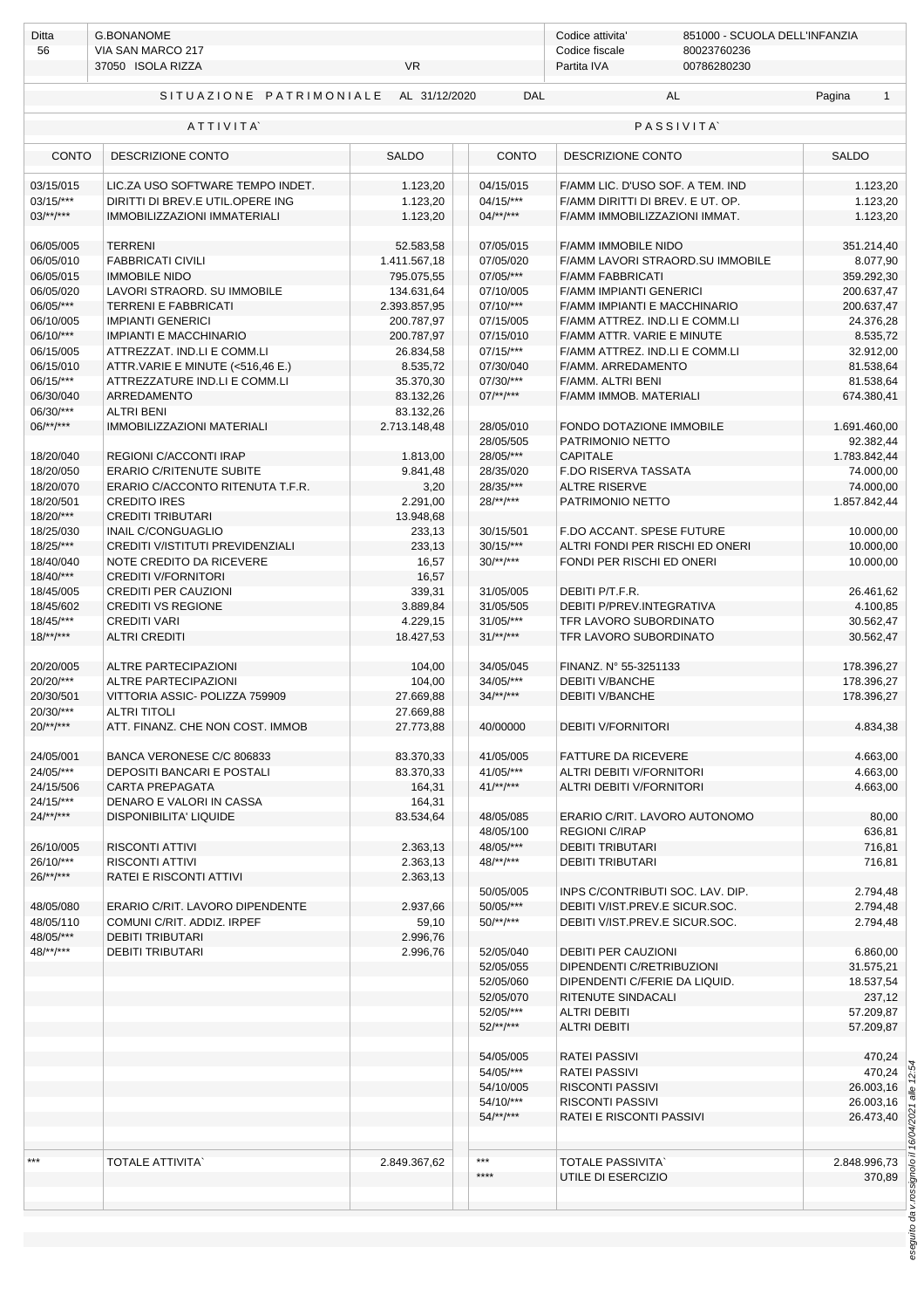| 56                        | VIA SAN MARCO 217<br>37050 ISOLA RIZZA                  | <b>VR</b>              | Codice fiscale<br>80023760236<br>Partita IVA<br>00786280230 |                                  |                           |  |
|---------------------------|---------------------------------------------------------|------------------------|-------------------------------------------------------------|----------------------------------|---------------------------|--|
|                           |                                                         |                        |                                                             |                                  |                           |  |
|                           | SITUAZIONE PATRIMONIALE                                 | AL 31/12/2020          | DAL                                                         | AL                               | Pagina<br>$\mathbf{1}$    |  |
|                           | ATTIVITA                                                |                        |                                                             | <b>PASSIVITA</b>                 |                           |  |
| <b>CONTO</b>              | DESCRIZIONE CONTO                                       | <b>SALDO</b>           | <b>CONTO</b>                                                | DESCRIZIONE CONTO                | <b>SALDO</b>              |  |
| 03/15/015                 | LIC.ZA USO SOFTWARE TEMPO INDET.                        | 1.123,20               | 04/15/015                                                   | F/AMM LIC. D'USO SOF. A TEM. IND | 1.123,20                  |  |
| $03/15$ /***              | DIRITTI DI BREV.E UTIL.OPERE ING                        | 1.123,20               | 04/15/***                                                   | F/AMM DIRITTI DI BREV. E UT. OP. | 1.123,20                  |  |
| $03$ /**/***              | <b>IMMOBILIZZAZIONI IMMATERIALI</b>                     | 1.123,20               | $04/**/***$                                                 | F/AMM IMMOBILIZZAZIONI IMMAT.    | 1.123,20                  |  |
| 06/05/005                 | <b>TERRENI</b>                                          | 52.583,58              | 07/05/015                                                   | F/AMM IMMOBILE NIDO              | 351.214,40                |  |
| 06/05/010                 | <b>FABBRICATI CIVILI</b>                                | 1.411.567,18           | 07/05/020                                                   | F/AMM LAVORI STRAORD.SU IMMOBILE | 8.077,90                  |  |
| 06/05/015                 | <b>IMMOBILE NIDO</b>                                    | 795.075,55             | $07/05$ /***                                                | <b>F/AMM FABBRICATI</b>          | 359.292,30                |  |
| 06/05/020                 | LAVORI STRAORD. SU IMMOBILE                             | 134.631,64             | 07/10/005                                                   | <b>F/AMM IMPIANTI GENERICI</b>   | 200.637,47                |  |
| 06/05/***                 | <b>TERRENI E FABBRICATI</b>                             | 2.393.857,95           | $07/10$ /***                                                | F/AMM IMPIANTI E MACCHINARIO     | 200.637,47                |  |
| 06/10/005                 | <b>IMPIANTI GENERICI</b>                                | 200.787,97             | 07/15/005                                                   | F/AMM ATTREZ. IND.LI E COMM.LI   | 24.376,28                 |  |
| 06/10/***                 | <b>IMPIANTI E MACCHINARIO</b>                           | 200.787,97             | 07/15/010                                                   | F/AMM ATTR. VARIE E MINUTE       | 8.535,72                  |  |
| 06/15/005                 | ATTREZZAT. IND.LI E COMM.LI                             | 26.834,58              | $07/15$ /***                                                | F/AMM ATTREZ. IND.LI E COMM.LI   | 32.912,00                 |  |
| 06/15/010                 | ATTR.VARIE E MINUTE (<516,46 E.)                        | 8.535,72               | 07/30/040                                                   | F/AMM. ARREDAMENTO               | 81.538,64                 |  |
| 06/15/***                 | ATTREZZATURE IND.LI E COMM.LI                           | 35.370,30              | 07/30/***                                                   | F/AMM. ALTRI BENI                | 81.538,64                 |  |
| 06/30/040                 | ARREDAMENTO                                             | 83.132,26              | $07$ /**/***                                                | F/AMM IMMOB. MATERIALI           | 674.380,41                |  |
| 06/30/***<br>$06$ /**/*** | <b>ALTRI BENI</b>                                       | 83.132,26              | 28/05/010                                                   | FONDO DOTAZIONE IMMOBILE         |                           |  |
|                           | <b>IMMOBILIZZAZIONI MATERIALI</b>                       | 2.713.148,48           | 28/05/505                                                   | PATRIMONIO NETTO                 | 1.691.460,00<br>92.382,44 |  |
| 18/20/040                 | REGIONI C/ACCONTI IRAP                                  | 1.813,00               | 28/05/***                                                   | <b>CAPITALE</b>                  | 1.783.842,44              |  |
| 18/20/050                 | <b>ERARIO C/RITENUTE SUBITE</b>                         | 9.841,48               | 28/35/020                                                   | F.DO RISERVA TASSATA             | 74.000,00                 |  |
| 18/20/070                 | ERARIO C/ACCONTO RITENUTA T.F.R.                        | 3,20                   | 28/35/***                                                   | <b>ALTRE RISERVE</b>             | 74.000,00                 |  |
| 18/20/501                 | <b>CREDITO IRES</b>                                     | 2.291,00               | $28$ /**/***                                                | PATRIMONIO NETTO                 | 1.857.842,44              |  |
| 18/20/***                 | <b>CREDITI TRIBUTARI</b>                                | 13.948,68              |                                                             |                                  |                           |  |
| 18/25/030                 | <b>INAIL C/CONGUAGLIO</b>                               | 233,13                 | 30/15/501                                                   | F.DO ACCANT. SPESE FUTURE        | 10.000,00                 |  |
| $18/25$ /***              | CREDITI V/ISTITUTI PREVIDENZIALI                        | 233,13                 | $30/15$ /***                                                | ALTRI FONDI PER RISCHI ED ONERI  | 10.000,00                 |  |
| 18/40/040                 | NOTE CREDITO DA RICEVERE                                | 16,57                  | $30$ /**/***                                                | FONDI PER RISCHI ED ONERI        | 10.000,00                 |  |
| $18/40$ /***              | <b>CREDITI V/FORNITORI</b>                              | 16,57                  |                                                             |                                  |                           |  |
| 18/45/005                 | <b>CREDITI PER CAUZIONI</b>                             | 339,31                 | 31/05/005                                                   | DEBITI P/T.F.R.                  | 26.461,62                 |  |
| 18/45/602                 | <b>CREDITI VS REGIONE</b>                               | 3.889,84               | 31/05/505                                                   | DEBITI P/PREV.INTEGRATIVA        | 4.100,85                  |  |
| $18/45$ /***              | <b>CREDITI VARI</b>                                     | 4.229,15               | $31/05$ /***                                                | TFR LAVORO SUBORDINATO           | 30.562,47                 |  |
| $18$ /**/***              | <b>ALTRI CREDITI</b>                                    | 18.427,53              | $31$ /**/***                                                | TFR LAVORO SUBORDINATO           | 30.562,47                 |  |
|                           |                                                         |                        |                                                             |                                  |                           |  |
| 20/20/005                 | ALTRE PARTECIPAZIONI                                    | 104,00                 | 34/05/045                                                   | FINANZ. Nº 55-3251133            | 178.396,27                |  |
| 20/20/***                 | <b>ALTRE PARTECIPAZIONI</b>                             | 104,00                 | 34/05/***                                                   | <b>DEBITI V/BANCHE</b>           | 178.396,27                |  |
| 20/30/501<br>20/30/***    | VITTORIA ASSIC- POLIZZA 759909                          | 27.669,88              | $34/*$ */***                                                | <b>DEBITI V/BANCHE</b>           | 178.396,27                |  |
| $20$ /**/***              | <b>ALTRI TITOLI</b><br>ATT. FINANZ. CHE NON COST. IMMOB | 27.669,88<br>27.773,88 | 40/00000                                                    | <b>DEBITI V/FORNITORI</b>        | 4.834,38                  |  |
|                           |                                                         |                        |                                                             |                                  |                           |  |
| 24/05/001                 | BANCA VERONESE C/C 806833                               | 83.370,33              | 41/05/005                                                   | <b>FATTURE DA RICEVERE</b>       | 4.663,00                  |  |
| 24/05/***                 | <b>DEPOSITI BANCARI E POSTALI</b>                       | 83.370,33              | 41/05/***                                                   | ALTRI DEBITI V/FORNITORI         | 4.663,00                  |  |
| 24/15/506                 | <b>CARTA PREPAGATA</b>                                  | 164,31                 | $41^{***}$                                                  | ALTRI DEBITI V/FORNITORI         | 4.663,00                  |  |
| 24/15/***                 | DENARO E VALORI IN CASSA                                | 164,31                 |                                                             |                                  |                           |  |
| $24$ /**/***              | DISPONIBILITA' LIQUIDE                                  | 83.534,64              | 48/05/085                                                   | ERARIO C/RIT. LAVORO AUTONOMO    | 80,00                     |  |
|                           |                                                         |                        | 48/05/100                                                   | <b>REGIONI C/IRAP</b>            | 636,81                    |  |
| 26/10/005                 | <b>RISCONTI ATTIVI</b>                                  | 2.363,13               | 48/05/***                                                   | <b>DEBITI TRIBUTARI</b>          | 716,81                    |  |
| 26/10/***                 | <b>RISCONTI ATTIVI</b>                                  | 2.363,13               | $48$ /**/***                                                | <b>DEBITI TRIBUTARI</b>          | 716,81                    |  |
| $26$ /**/***              | RATEI E RISCONTI ATTIVI                                 | 2.363,13               |                                                             |                                  |                           |  |
|                           |                                                         |                        | 50/05/005                                                   | INPS C/CONTRIBUTI SOC. LAV. DIP. | 2.794,48                  |  |
| 48/05/080                 | ERARIO C/RIT. LAVORO DIPENDENTE                         | 2.937,66               | 50/05/***                                                   | DEBITI V/IST.PREV.E SICUR.SOC.   | 2.794,48                  |  |
| 48/05/110<br>48/05/***    | COMUNI C/RIT. ADDIZ. IRPEF<br><b>DEBITI TRIBUTARI</b>   | 59,10<br>2.996,76      | $50$ /**/***                                                | DEBITI V/IST.PREV.E SICUR.SOC.   | 2.794,48                  |  |
| 48/**/***                 | <b>DEBITI TRIBUTARI</b>                                 | 2.996,76               | 52/05/040                                                   | <b>DEBITI PER CAUZIONI</b>       | 6.860,00                  |  |
|                           |                                                         |                        | 52/05/055                                                   | DIPENDENTI C/RETRIBUZIONI        | 31.575,21                 |  |
|                           |                                                         |                        | 52/05/060                                                   | DIPENDENTI C/FERIE DA LIQUID.    | 18.537,54                 |  |
|                           |                                                         |                        | 52/05/070                                                   | RITENUTE SINDACALI               | 237,12                    |  |
|                           |                                                         |                        | 52/05/***                                                   | <b>ALTRI DEBITI</b>              | 57.209,87                 |  |
|                           |                                                         |                        | $52$ /**/***                                                | <b>ALTRI DEBITI</b>              | 57.209,87                 |  |
|                           |                                                         |                        |                                                             |                                  |                           |  |
|                           |                                                         |                        | 54/05/005                                                   | <b>RATEI PASSIVI</b>             | 470,24                    |  |
|                           |                                                         |                        | 54/05/***                                                   | <b>RATEI PASSIVI</b>             | 470,24                    |  |
|                           |                                                         |                        | 54/10/005                                                   | RISCONTI PASSIVI                 | 26.003,16                 |  |
|                           |                                                         |                        | 54/10/***                                                   | RISCONTI PASSIVI                 | 26.003,16                 |  |
|                           |                                                         |                        | $54$ /**/***                                                | RATEI E RISCONTI PASSIVI         | 26.473,40                 |  |
|                           |                                                         |                        |                                                             |                                  |                           |  |
| ***                       | <b>TOTALE ATTIVITA'</b>                                 | 2.849.367,62           | $***$                                                       | <b>TOTALE PASSIVITA</b>          | 2.848.996,73              |  |
|                           |                                                         |                        | ****                                                        | UTILE DI ESERCIZIO               | 370,89                    |  |
|                           |                                                         |                        |                                                             |                                  |                           |  |

eseguito da v.rossignolo il 16/04/2021 alle 12:54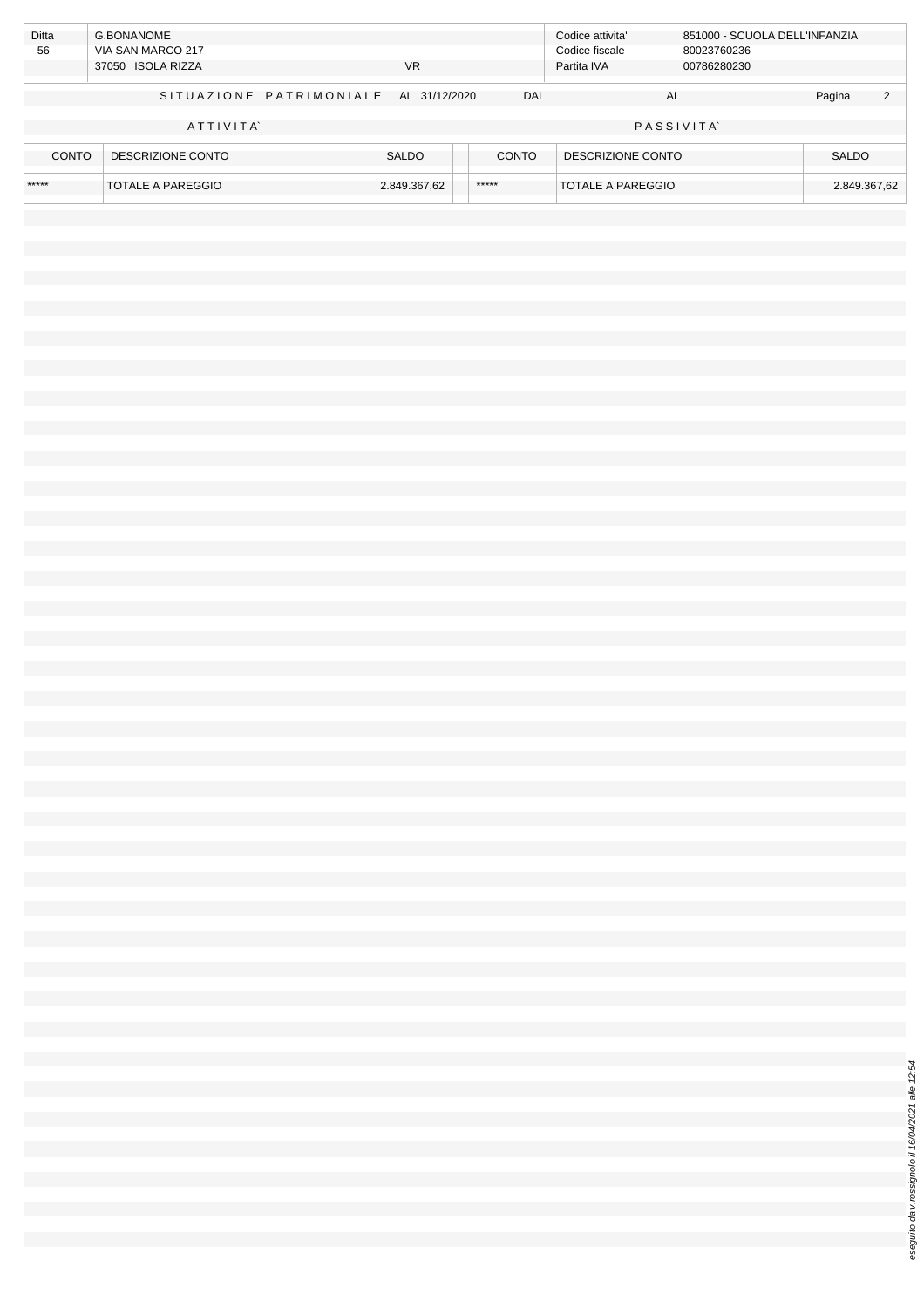| <b>Ditta</b> | G.BONANOME              |               |              | Codice attivita'  | 851000 - SCUOLA DELL'INFANZIA |              |                |
|--------------|-------------------------|---------------|--------------|-------------------|-------------------------------|--------------|----------------|
| 56           | VIA SAN MARCO 217       |               |              | Codice fiscale    | 80023760236                   |              |                |
|              | 37050 ISOLA RIZZA       | <b>VR</b>     |              | Partita IVA       | 00786280230                   |              |                |
|              |                         |               |              |                   |                               |              |                |
|              | SITUAZIONE PATRIMONIALE | AL 31/12/2020 | DAL          |                   | AL                            | Pagina       | $\overline{2}$ |
|              |                         |               |              |                   |                               |              |                |
|              | ATTIVITA                |               |              |                   | <b>PASSIVITA</b>              |              |                |
|              |                         |               |              |                   |                               |              |                |
| CONTO        | DESCRIZIONE CONTO       | <b>SALDO</b>  | <b>CONTO</b> | DESCRIZIONE CONTO |                               | <b>SALDO</b> |                |
|              |                         |               |              |                   |                               |              |                |
| *****        | TOTALE A PAREGGIO       | 2.849.367,62  | *****        | TOTALE A PAREGGIO |                               | 2.849.367,62 |                |
|              |                         |               |              |                   |                               |              |                |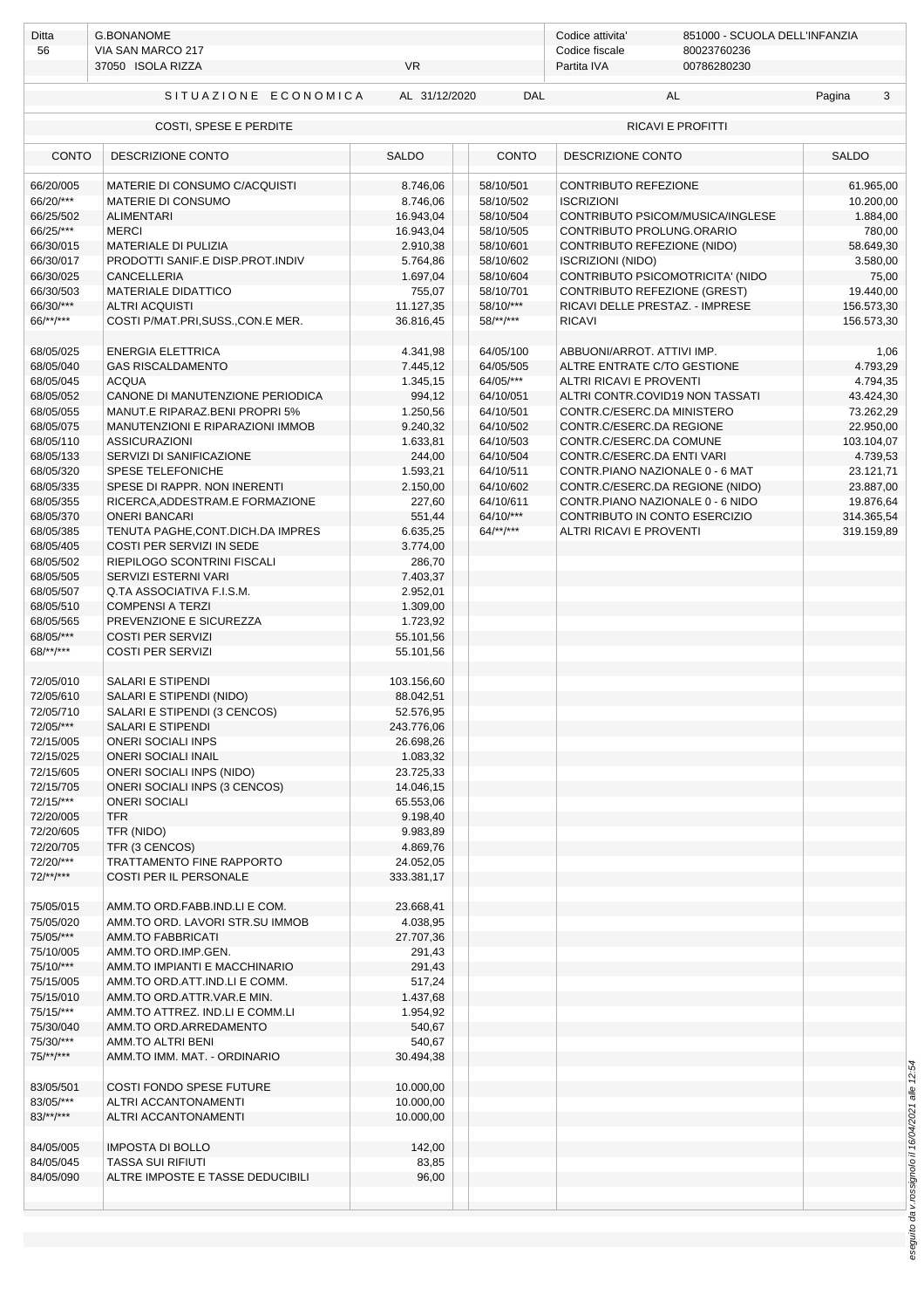| 56                     | <b>G.BONANOME</b><br>VIA SAN MARCO 217<br>37050 ISOLA RIZZA | <b>VR</b>             |                        | Codice attivita'<br>851000 - SCUOLA DELL'INFANZIA<br>Codice fiscale<br>80023760236<br>00786280230<br>Partita IVA |                         |  |
|------------------------|-------------------------------------------------------------|-----------------------|------------------------|------------------------------------------------------------------------------------------------------------------|-------------------------|--|
|                        | SITUAZIONE ECONOMICA                                        | AL 31/12/2020         | <b>DAL</b>             | AL                                                                                                               | Pagina<br>3             |  |
|                        | COSTI, SPESE E PERDITE                                      |                       |                        | <b>RICAVI E PROFITTI</b>                                                                                         |                         |  |
| <b>CONTO</b>           | <b>DESCRIZIONE CONTO</b>                                    | <b>SALDO</b>          | CONTO                  | DESCRIZIONE CONTO                                                                                                | <b>SALDO</b>            |  |
| 66/20/005              | MATERIE DI CONSUMO C/ACQUISTI                               | 8.746,06              | 58/10/501              | CONTRIBUTO REFEZIONE                                                                                             | 61.965,00               |  |
| 66/20/***              | MATERIE DI CONSUMO                                          | 8.746,06              | 58/10/502              | <b>ISCRIZIONI</b>                                                                                                | 10.200,00               |  |
| 66/25/502              | <b>ALIMENTARI</b>                                           | 16.943,04             | 58/10/504              | CONTRIBUTO PSICOM/MUSICA/INGLESE                                                                                 | 1.884,00                |  |
| 66/25/***              | <b>MERCI</b>                                                | 16.943,04             | 58/10/505              | CONTRIBUTO PROLUNG.ORARIO                                                                                        | 780,00                  |  |
| 66/30/015              | <b>MATERIALE DI PULIZIA</b>                                 | 2.910,38              | 58/10/601              | CONTRIBUTO REFEZIONE (NIDO)                                                                                      | 58.649,30               |  |
| 66/30/017<br>66/30/025 | PRODOTTI SANIF.E DISP.PROT.INDIV<br><b>CANCELLERIA</b>      | 5.764,86<br>1.697,04  | 58/10/602<br>58/10/604 | <b>ISCRIZIONI (NIDO)</b><br>CONTRIBUTO PSICOMOTRICITA' (NIDO                                                     | 3.580,00<br>75,00       |  |
| 66/30/503              | <b>MATERIALE DIDATTICO</b>                                  | 755,07                | 58/10/701              | CONTRIBUTO REFEZIONE (GREST)                                                                                     | 19.440,00               |  |
| 66/30/***              | <b>ALTRI ACQUISTI</b>                                       | 11.127,35             | 58/10/***              | RICAVI DELLE PRESTAZ. - IMPRESE                                                                                  | 156.573,30              |  |
| 66/**/***              | COSTI P/MAT.PRI, SUSS., CON.E MER.                          | 36.816,45             | $58$ /**/***           | <b>RICAVI</b>                                                                                                    | 156.573,30              |  |
| 68/05/025              | <b>ENERGIA ELETTRICA</b>                                    | 4.341,98              | 64/05/100              | ABBUONI/ARROT. ATTIVI IMP.                                                                                       | 1,06                    |  |
| 68/05/040              | <b>GAS RISCALDAMENTO</b>                                    | 7.445,12              | 64/05/505              | ALTRE ENTRATE C/TO GESTIONE                                                                                      | 4.793,29                |  |
| 68/05/045              | <b>ACQUA</b>                                                | 1.345,15              | 64/05/***              | ALTRI RICAVI E PROVENTI                                                                                          | 4.794,35                |  |
| 68/05/052              | CANONE DI MANUTENZIONE PERIODICA                            | 994,12                | 64/10/051              | ALTRI CONTR.COVID19 NON TASSATI                                                                                  | 43.424,30               |  |
| 68/05/055              | MANUT.E RIPARAZ.BENI PROPRI 5%                              | 1.250,56              | 64/10/501              | CONTR.C/ESERC.DA MINISTERO                                                                                       | 73.262,29               |  |
| 68/05/075<br>68/05/110 | MANUTENZIONI E RIPARAZIONI IMMOB<br><b>ASSICURAZIONI</b>    | 9.240,32              | 64/10/502<br>64/10/503 | CONTR.C/ESERC.DA REGIONE<br>CONTR.C/ESERC.DA COMUNE                                                              | 22.950,00<br>103.104,07 |  |
| 68/05/133              | SERVIZI DI SANIFICAZIONE                                    | 1.633,81<br>244,00    | 64/10/504              | CONTR.C/ESERC.DA ENTI VARI                                                                                       | 4.739,53                |  |
| 68/05/320              | SPESE TELEFONICHE                                           | 1.593,21              | 64/10/511              | CONTR.PIANO NAZIONALE 0 - 6 MAT                                                                                  | 23.121,71               |  |
| 68/05/335              | SPESE DI RAPPR. NON INERENTI                                | 2.150,00              | 64/10/602              | CONTR.C/ESERC.DA REGIONE (NIDO)                                                                                  | 23.887,00               |  |
| 68/05/355              | RICERCA, ADDESTRAM.E FORMAZIONE                             | 227,60                | 64/10/611              | CONTR.PIANO NAZIONALE 0 - 6 NIDO                                                                                 | 19.876,64               |  |
| 68/05/370              | <b>ONERI BANCARI</b>                                        | 551,44                | 64/10/***              | CONTRIBUTO IN CONTO ESERCIZIO                                                                                    | 314.365,54              |  |
| 68/05/385              | TENUTA PAGHE, CONT. DICH. DA IMPRES                         | 6.635,25              | $64$ /**/***           | ALTRI RICAVI E PROVENTI                                                                                          | 319.159,89              |  |
| 68/05/405              | COSTI PER SERVIZI IN SEDE                                   | 3.774,00              |                        |                                                                                                                  |                         |  |
| 68/05/502<br>68/05/505 | RIEPILOGO SCONTRINI FISCALI<br>SERVIZI ESTERNI VARI         | 286,70<br>7.403,37    |                        |                                                                                                                  |                         |  |
| 68/05/507              | Q.TA ASSOCIATIVA F.I.S.M.                                   | 2.952,01              |                        |                                                                                                                  |                         |  |
| 68/05/510              | <b>COMPENSI A TERZI</b>                                     | 1.309,00              |                        |                                                                                                                  |                         |  |
| 68/05/565              | PREVENZIONE E SICUREZZA                                     | 1.723,92              |                        |                                                                                                                  |                         |  |
| 68/05/***              | <b>COSTI PER SERVIZI</b>                                    | 55.101,56             |                        |                                                                                                                  |                         |  |
| 68/**/***              | <b>COSTI PER SERVIZI</b>                                    | 55.101,56             |                        |                                                                                                                  |                         |  |
| 72/05/010              | <b>SALARI E STIPENDI</b>                                    | 103.156,60            |                        |                                                                                                                  |                         |  |
| 72/05/610              | SALARI E STIPENDI (NIDO)                                    | 88.042,51             |                        |                                                                                                                  |                         |  |
| 72/05/710              | SALARI E STIPENDI (3 CENCOS)                                | 52.576,95             |                        |                                                                                                                  |                         |  |
| 72/05/***<br>72/15/005 | SALARI E STIPENDI<br><b>ONERI SOCIALI INPS</b>              | 243.776,06            |                        |                                                                                                                  |                         |  |
| 72/15/025              | <b>ONERI SOCIALI INAIL</b>                                  | 26.698,26<br>1.083,32 |                        |                                                                                                                  |                         |  |
| 72/15/605              | <b>ONERI SOCIALI INPS (NIDO)</b>                            | 23.725,33             |                        |                                                                                                                  |                         |  |
| 72/15/705              | ONERI SOCIALI INPS (3 CENCOS)                               | 14.046,15             |                        |                                                                                                                  |                         |  |
| 72/15/***              | <b>ONERI SOCIALI</b>                                        | 65.553,06             |                        |                                                                                                                  |                         |  |
| 72/20/005              | <b>TFR</b>                                                  | 9.198,40              |                        |                                                                                                                  |                         |  |
| 72/20/605              | TFR (NIDO)                                                  | 9.983,89              |                        |                                                                                                                  |                         |  |
| 72/20/705<br>72/20/*** | TFR (3 CENCOS)<br>TRATTAMENTO FINE RAPPORTO                 | 4.869,76<br>24.052,05 |                        |                                                                                                                  |                         |  |
| $72$ /**/***           | COSTI PER IL PERSONALE                                      | 333.381,17            |                        |                                                                                                                  |                         |  |
|                        |                                                             |                       |                        |                                                                                                                  |                         |  |
| 75/05/015              | AMM.TO ORD.FABB.IND.LI E COM.                               | 23.668,41             |                        |                                                                                                                  |                         |  |
| 75/05/020              | AMM.TO ORD. LAVORI STR.SU IMMOB                             | 4.038,95              |                        |                                                                                                                  |                         |  |
| 75/05/***              | AMM.TO FABBRICATI                                           | 27.707,36             |                        |                                                                                                                  |                         |  |
| 75/10/005<br>75/10/*** | AMM.TO ORD.IMP.GEN.<br>AMM.TO IMPIANTI E MACCHINARIO        | 291,43<br>291,43      |                        |                                                                                                                  |                         |  |
| 75/15/005              | AMM.TO ORD.ATT.IND.LI E COMM.                               | 517,24                |                        |                                                                                                                  |                         |  |
| 75/15/010              | AMM.TO ORD.ATTR.VAR.E MIN.                                  | 1.437,68              |                        |                                                                                                                  |                         |  |
| 75/15/***              | AMM.TO ATTREZ. IND.LI E COMM.LI                             | 1.954,92              |                        |                                                                                                                  |                         |  |
| 75/30/040              | AMM.TO ORD.ARREDAMENTO                                      | 540,67                |                        |                                                                                                                  |                         |  |
| 75/30/***              | AMM.TO ALTRI BENI                                           | 540,67                |                        |                                                                                                                  |                         |  |
| $75$ /**/***           | AMM.TO IMM. MAT. - ORDINARIO                                | 30.494,38             |                        |                                                                                                                  |                         |  |
| 83/05/501              | COSTI FONDO SPESE FUTURE                                    | 10.000,00             |                        |                                                                                                                  |                         |  |
| 83/05/***              | ALTRI ACCANTONAMENTI                                        | 10.000,00             |                        |                                                                                                                  |                         |  |
| $83$ /**/***           | ALTRI ACCANTONAMENTI                                        | 10.000,00             |                        |                                                                                                                  |                         |  |
| 84/05/005              | <b>IMPOSTA DI BOLLO</b>                                     | 142,00                |                        |                                                                                                                  |                         |  |
| 84/05/045              | <b>TASSA SUI RIFIUTI</b>                                    | 83,85                 |                        |                                                                                                                  |                         |  |
| 84/05/090              | ALTRE IMPOSTE E TASSE DEDUCIBILI                            | 96,00                 |                        |                                                                                                                  |                         |  |
|                        |                                                             |                       |                        |                                                                                                                  |                         |  |
|                        |                                                             |                       |                        |                                                                                                                  |                         |  |

eseguito da v.rossignolo il 16/04/2021 alle 12:54